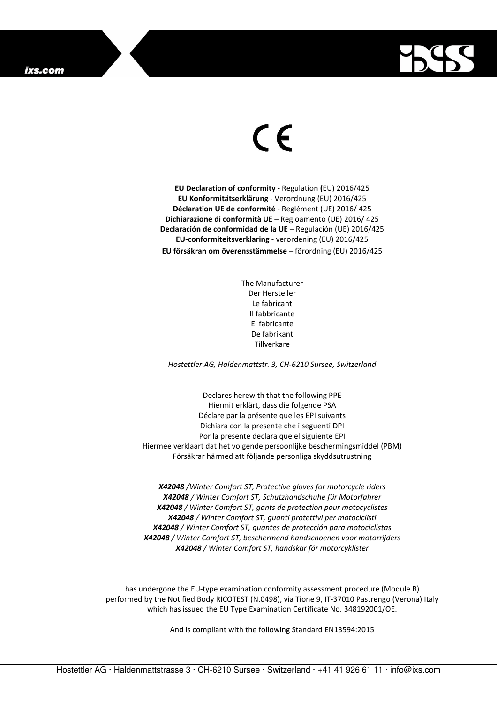

## $\in$

**EU Declaration of conformity -** Regulation **(**EU) 2016/425 **EU Konformitätserklärung** - Verordnung (EU) 2016/425 **Déclaration UE de conformité** - Reglément (UE) 2016/ 425 **Dichiarazione di conformità UE** – Regloamento (UE) 2016/ 425 **Declaración de conformidad de la UE** – Regulación (UE) 2016/425 **EU-conformiteitsverklaring** - verordening (EU) 2016/425 **EU försäkran om överensstämmelse** – förordning (EU) 2016/425

> The Manufacturer Der Hersteller Le fabricant Il fabbricante El fabricante De fabrikant Tillverkare

*Hostettler AG, Haldenmattstr. 3, CH-6210 Sursee, Switzerland* 

Declares herewith that the following PPE Hiermit erklärt, dass die folgende PSA Déclare par la présente que les EPI suivants Dichiara con la presente che i seguenti DPI Por la presente declara que el siguiente EPI Hiermee verklaart dat het volgende persoonlijke beschermingsmiddel (PBM) Försäkrar härmed att följande personliga skyddsutrustning

*X42048 /Winter Comfort ST, Protective gloves for motorcycle riders X42048 / Winter Comfort ST, Schutzhandschuhe für Motorfahrer X42048 / Winter Comfort ST, gants de protection pour motocyclistes X42048 / Winter Comfort ST, guanti protettivi per motociclisti X42048 / Winter Comfort ST, guantes de protección para motociclistas X42048 / Winter Comfort ST, beschermend handschoenen voor motorrijders X42048 / Winter Comfort ST, handskar för motorcyklister* 

has undergone the EU-type examination conformity assessment procedure (Module B) performed by the Notified Body RICOTEST (N.0498), via Tione 9, IT-37010 Pastrengo (Verona) Italy which has issued the EU Type Examination Certificate No. 348192001/OE.

And is compliant with the following Standard EN13594:2015